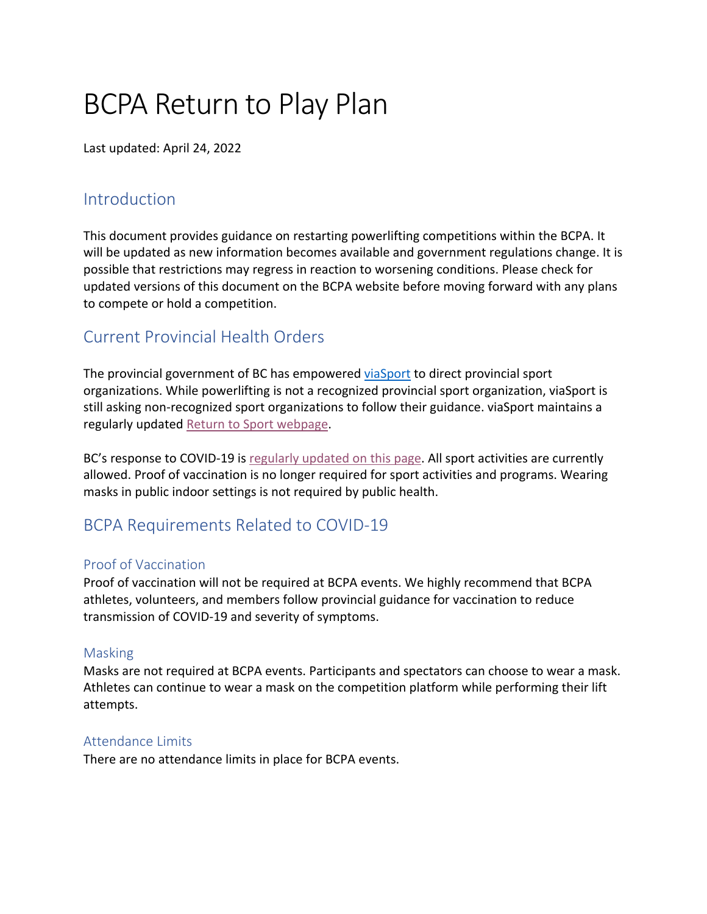# BCPA Return to Play Plan

Last updated: April 24, 2022

### **Introduction**

This document provides guidance on restarting powerlifting competitions within the BCPA. It will be updated as new information becomes available and government regulations change. It is possible that restrictions may regress in reaction to worsening conditions. Please check for updated versions of this document on the BCPA website before moving forward with any plans to compete or hold a competition.

## Current Provincial Health Orders

The provincial government of BC has empowered viaSport to direct provincial sport organizations. While powerlifting is not a recognized provincial sport organization, viaSport is still asking non-recognized sport organizations to follow their guidance. viaSport maintains a regularly updated Return to Sport webpage.

BC's response to COVID-19 is regularly updated on this page. All sport activities are currently allowed. Proof of vaccination is no longer required for sport activities and programs. Wearing masks in public indoor settings is not required by public health.

## BCPA Requirements Related to COVID-19

#### Proof of Vaccination

Proof of vaccination will not be required at BCPA events. We highly recommend that BCPA athletes, volunteers, and members follow provincial guidance for vaccination to reduce transmission of COVID-19 and severity of symptoms.

#### Masking

Masks are not required at BCPA events. Participants and spectators can choose to wear a mask. Athletes can continue to wear a mask on the competition platform while performing their lift attempts.

#### Attendance Limits

There are no attendance limits in place for BCPA events.